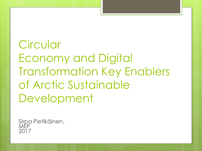# **Circular** Economy and Digital Transformation Key Enablers of Arctic Sustainable Development

Sirpa Pietikäinen, MEP 2017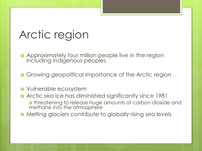#### Arctic region

- **•** Approximately four million people live in the region including indigenous peoples
- **o** Growing geopolitical importance of the Arctic region
- Vulnerable ecosystem
- Arctic sea ice has diminished significantly since 1981 o threatening to release huge amounts of carbon dioxide and methane into the atmosphere
- Melting glaciers contribute to globally rising sea levels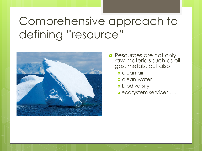# Comprehensive approach to defining "resource"



- **o** Resources are not only raw materials such as oil, gas, metals, but also
	- clean air
	- **o** clean water
	- **o** biodiversity
	- ecosystem services ….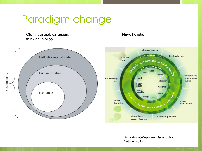#### Paradigm change

Old: industrial, cartesian, thinking in silos

New: holistic





Rockström&Wijkman: Bankrupting Nature (2012)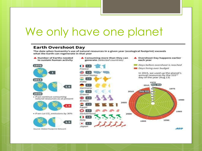#### We only have one planet

#### **Earth Overshoot Dav**

The date when humanity's use of natural resources in a given year (ecological footprint) exceeds what the Earth can regenerate in that year

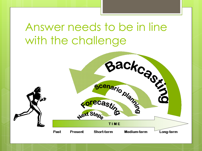### Answer needs to be in line with the challenge

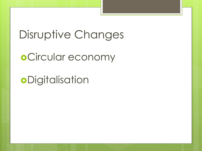### Disruptive Changes

o Circular economy

**o**Digitalisation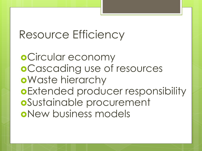#### Resource Efficiency

o Circular economy Cascading use of resources Waste hierarchy Extended producer responsibility Sustainable procurement New business models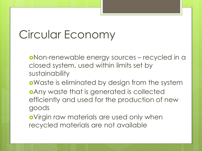## Circular Economy

- Non-renewable energy sources recycled in a closed system, used within limits set by sustainability
- oWaste is eliminated by design from the system
- Any waste that is generated is collected efficiently and used for the production of new goods
- Virgin raw materials are used only when recycled materials are not available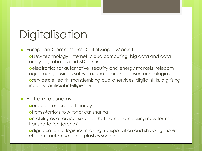# **Digitalisation**

- **•** European Commission: Digital Single Market
	- New technology: internet, cloud computing, big data and data analytics, robotics and 3D printing
	- oelectronics for automotive, security and energy markets, telecom equipment, business software, and laser and sensor technologies
	- services: eHealth, mondernising public services, digital skills, digitising industry, artificial intelligence

#### **o** Platform economy

- **e**enables resource efficiency
- **ofrom Marriots to Airbnb; car sharing**
- mobility as a service: services that come home using new forms of transportation (drones)
- odigitalisation of logistics: making transportation and shipping more efficient, automisation of plastics sorting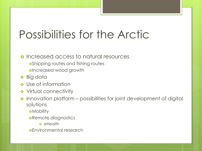#### Possibilities for the Arctic

#### **o** Increased access to natural resources

- **o**Shipping routes and fishing routes
- oIncreased wood growth
- **o** Big data
- **o** Use of information
- **o** Virtual connectivity
- o Innovation platform possibilities for joint development of digital solutions
	- **o**Mobility
	- **oRemote diagnostics** 
		- **o** eHealth
	- Environmental research